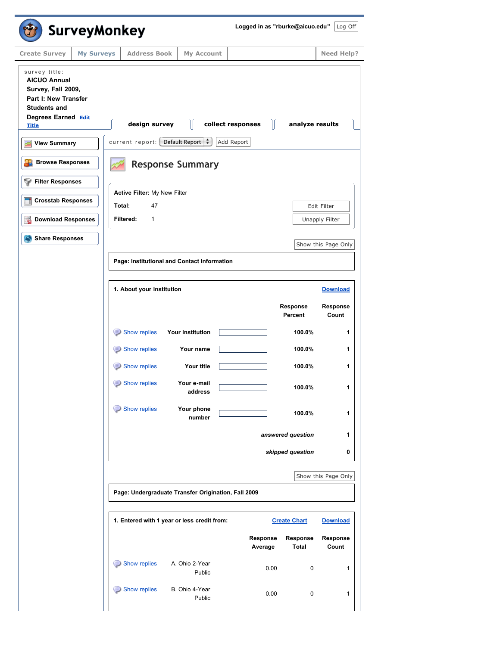| <b>SurveyMonkey</b>                                                                                                                              |                                                     |                          |                   |                     | Logged in as "rburke@aicuo.edu" | $Log$ Off           |
|--------------------------------------------------------------------------------------------------------------------------------------------------|-----------------------------------------------------|--------------------------|-------------------|---------------------|---------------------------------|---------------------|
| <b>Create Survey</b><br><b>My Surveys</b>                                                                                                        | <b>Address Book</b>                                 | My Account               |                   |                     |                                 | <b>Need Help?</b>   |
| survey title:<br><b>AICUO Annual</b><br>Survey, Fall 2009,<br>Part I: New Transfer<br><b>Students and</b><br>Degrees Earned Edit<br><b>Title</b> | design survey                                       |                          | collect responses | $\mathbb{I}$        | analyze results                 |                     |
| <b>View Summary</b>                                                                                                                              | current report: Default Report :                    |                          | Add Report        |                     |                                 |                     |
| <b>Browse Responses</b>                                                                                                                          |                                                     | <b>Response Summary</b>  |                   |                     |                                 |                     |
| <b>Filter Responses</b>                                                                                                                          | Active Filter: My New Filter                        |                          |                   |                     |                                 |                     |
| <b>Crosstab Responses</b>                                                                                                                        | Total:<br>47                                        |                          |                   |                     |                                 | Edit Filter         |
| <b>Download Responses</b>                                                                                                                        | Filtered:<br>1                                      |                          |                   |                     |                                 | Unapply Filter      |
| <b>Share Responses</b>                                                                                                                           |                                                     |                          |                   |                     |                                 | Show this Page Only |
|                                                                                                                                                  | Page: Institutional and Contact Information         |                          |                   |                     |                                 |                     |
|                                                                                                                                                  |                                                     |                          |                   |                     |                                 |                     |
|                                                                                                                                                  | 1. About your institution                           |                          |                   |                     |                                 | <b>Download</b>     |
|                                                                                                                                                  |                                                     |                          |                   |                     | Response<br>Percent             | Response<br>Count   |
|                                                                                                                                                  | Show replies                                        | Your institution         |                   |                     | 100.0%                          | 1                   |
|                                                                                                                                                  | Show replies                                        | Your name                |                   |                     | 100.0%                          | 1                   |
|                                                                                                                                                  | Show replies                                        | Your title               |                   |                     | 100.0%                          | 1                   |
|                                                                                                                                                  | Show replies                                        | Your e-mail<br>address   |                   |                     | 100.0%                          | 1                   |
|                                                                                                                                                  | Show replies                                        | Your phone<br>number     |                   |                     | 100.0%                          | 1                   |
|                                                                                                                                                  |                                                     |                          |                   |                     | answered question               | 1                   |
|                                                                                                                                                  |                                                     |                          |                   |                     | skipped question                | 0                   |
|                                                                                                                                                  |                                                     |                          |                   |                     |                                 | Show this Page Only |
|                                                                                                                                                  | Page: Undergraduate Transfer Origination, Fall 2009 |                          |                   |                     |                                 |                     |
|                                                                                                                                                  | 1. Entered with 1 year or less credit from:         |                          |                   |                     | <b>Create Chart</b>             | <b>Download</b>     |
|                                                                                                                                                  |                                                     |                          |                   | Response<br>Average | Response<br><b>Total</b>        | Response<br>Count   |
|                                                                                                                                                  | Show replies                                        | A. Ohio 2-Year<br>Public |                   | 0.00                | 0                               | 1                   |
|                                                                                                                                                  | Show replies                                        | B. Ohio 4-Year<br>Public |                   | 0.00                | 0                               | 1                   |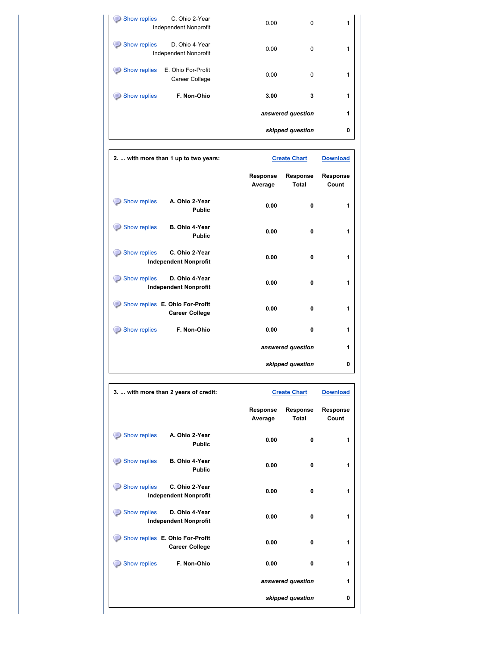| Show replies<br>C. Ohio 2-Year<br><b>Independent Nonprofit</b> | 0.00<br>0         | 1 |
|----------------------------------------------------------------|-------------------|---|
| Show replies<br>D. Ohio 4-Year<br><b>Independent Nonprofit</b> | 0.00<br>0         | 1 |
| Show replies<br>E. Ohio For-Profit<br>Career College           | 0.00<br>0         | 1 |
| F. Non-Ohio<br>Show replies                                    | 3.00<br>3         | 1 |
|                                                                | answered question | 1 |
|                                                                | skipped question  | 0 |

| 2.  with more than 1 up to two years:                          | <b>Create Chart</b>        |                          | <b>Download</b>   |
|----------------------------------------------------------------|----------------------------|--------------------------|-------------------|
|                                                                | <b>Response</b><br>Average | Response<br><b>Total</b> | Response<br>Count |
| Show replies<br>A. Ohio 2-Year<br><b>Public</b>                | 0.00                       | 0                        | 1                 |
| Show replies<br>B. Ohio 4-Year<br><b>Public</b>                | 0.00                       | 0                        | 1                 |
| Show replies<br>C. Ohio 2-Year<br><b>Independent Nonprofit</b> | 0.00                       | $\mathbf{0}$             | 1                 |
| Show replies<br>D. Ohio 4-Year<br><b>Independent Nonprofit</b> | 0.00                       | $\mathbf{0}$             | 1                 |
| Show replies E. Ohio For-Profit<br><b>Career College</b>       | 0.00                       | 0                        | 1                 |
| Show replies<br>F. Non-Ohio                                    | 0.00                       | 0                        | 1                 |
|                                                                |                            | answered question        | 1                 |
|                                                                |                            | skipped question         | 0                 |

| 3.  with more than 2 years of credit:                          | <b>Create Chart</b>        |                          | <b>Download</b>          |
|----------------------------------------------------------------|----------------------------|--------------------------|--------------------------|
|                                                                | <b>Response</b><br>Average | Response<br><b>Total</b> | <b>Response</b><br>Count |
| Show replies<br>A. Ohio 2-Year<br><b>Public</b>                | 0.00                       | 0                        | 1                        |
| Show replies<br>B. Ohio 4-Year<br><b>Public</b>                | 0.00                       | 0                        | 1                        |
| Show replies<br>C. Ohio 2-Year<br><b>Independent Nonprofit</b> | 0.00                       | 0                        | 1                        |
| Show replies<br>D. Ohio 4-Year<br><b>Independent Nonprofit</b> | 0.00                       | 0                        | 1                        |
| Show replies E. Ohio For-Profit<br><b>Career College</b>       | 0.00                       | 0                        | 1                        |
| Show replies<br>F. Non-Ohio                                    | 0.00                       | 0                        | 1                        |
|                                                                |                            | answered question        | 1                        |
|                                                                |                            | skipped question         | 0                        |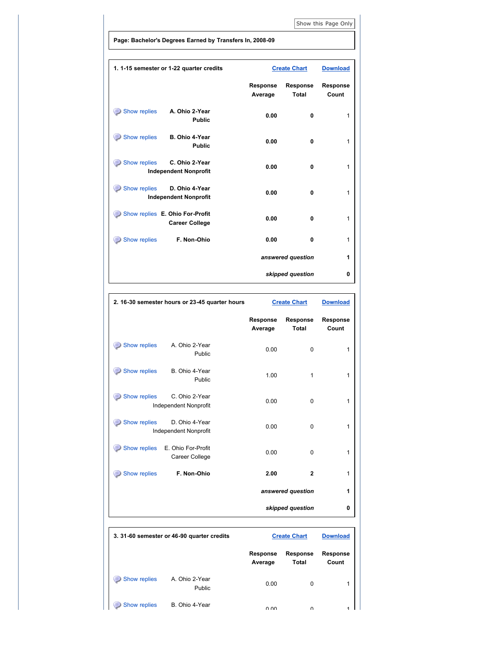[Show this Page Only](http://www.surveymonkey.com/MySurvey_Responses.aspx?sm=wj37cXLTeCTLxKGf6kO%2ft6Wy%2bQdli8omN%2f0t8zdC%2bvHeGkUqyaOVLZjqGOa0YGCm)

**Page: Bachelor's Degrees Earned by Transfers In, 2008-09**

ř

| 1. 1-15 semester or 1-22 quarter credits                              |                            | <b>Create Chart</b>             | <b>Download</b>          |
|-----------------------------------------------------------------------|----------------------------|---------------------------------|--------------------------|
|                                                                       | <b>Response</b><br>Average | <b>Response</b><br><b>Total</b> | <b>Response</b><br>Count |
| Show replies<br>A. Ohio 2-Year<br><b>Public</b>                       | 0.00                       | 0                               | 1                        |
| Show replies<br>B. Ohio 4-Year<br><b>Public</b>                       | 0.00                       | $\mathbf{0}$                    | 1                        |
| Show replies<br>⊜<br>C. Ohio 2-Year<br><b>Independent Nonprofit</b>   | 0.00                       | $\mathbf{0}$                    | 1                        |
| <b>Show replies</b><br>D. Ohio 4-Year<br><b>Independent Nonprofit</b> | 0.00                       | 0                               | 1                        |
| Show replies E. Ohio For-Profit<br><b>Career College</b>              | 0.00                       | $\mathbf{0}$                    | 1                        |
| Show replies<br>F. Non-Ohio                                           | 0.00                       | $\mathbf{0}$                    | 1                        |
|                                                                       |                            | answered question               | 1                        |
|                                                                       |                            | skipped question                | 0                        |

|              | 2. 16-30 semester hours or 23-45 quarter hours |                     | <b>Create Chart</b>      | <b>Download</b>   |
|--------------|------------------------------------------------|---------------------|--------------------------|-------------------|
|              |                                                | Response<br>Average | Response<br><b>Total</b> | Response<br>Count |
| Show replies | A. Ohio 2-Year<br>Public                       | 0.00                | $\mathbf 0$              | 1                 |
| Show replies | B. Ohio 4-Year<br>Public                       | 1.00                | 1                        | 1                 |
| Show replies | C. Ohio 2-Year<br><b>Independent Nonprofit</b> | 0.00                | 0                        | 1                 |
| Show replies | D. Ohio 4-Year<br>Independent Nonprofit        | 0.00                | 0                        | 1                 |
| Show replies | E. Ohio For-Profit<br>Career College           | 0.00                | 0                        | 1                 |
| Show replies | F. Non-Ohio                                    | 2.00                | $\overline{2}$           | 1                 |
|              |                                                |                     | answered question        | 1                 |
|              |                                                |                     | skipped question         | 0                 |

|                          | 3. 31-60 semester or 46-90 quarter credits |                            | <b>Create Chart</b>      | <b>Download</b>          |
|--------------------------|--------------------------------------------|----------------------------|--------------------------|--------------------------|
|                          |                                            | <b>Response</b><br>Average | <b>Response</b><br>Total | <b>Response</b><br>Count |
| 3<br>Show replies        | A. Ohio 2-Year<br>Public                   | 0.00                       | 0                        | 1                        |
| $\equiv$<br>Show replies | B. Ohio 4-Year                             | 0.00                       | $\Omega$                 | 4                        |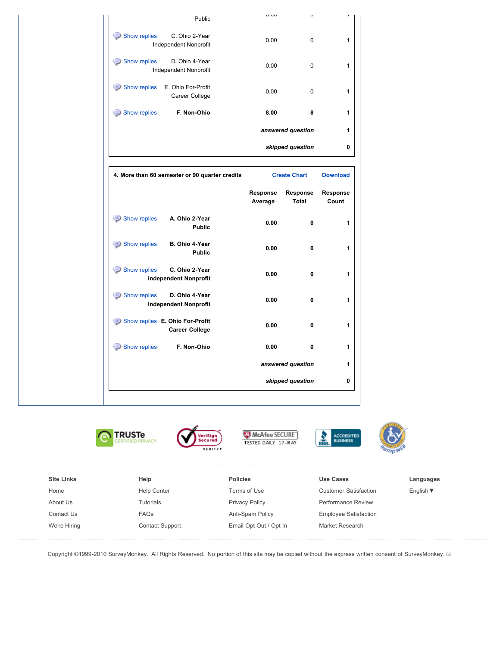|              | Public                                                   | U.UU     | v                   |                 |
|--------------|----------------------------------------------------------|----------|---------------------|-----------------|
| Show replies | C. Ohio 2-Year<br>Independent Nonprofit                  | 0.00     | 0                   |                 |
| Show replies | D. Ohio 4-Year<br>Independent Nonprofit                  | 0.00     | 0                   |                 |
| Show replies | E. Ohio For-Profit<br>Career College                     | 0.00     | 0                   |                 |
| Show replies | F. Non-Ohio                                              | 8.00     | 8                   |                 |
|              |                                                          |          | answered question   |                 |
|              |                                                          |          | skipped question    |                 |
|              | 4. More than 60 semester or 90 quarter credits           |          | <b>Create Chart</b> | <b>Download</b> |
|              |                                                          | Response | Response            | Response        |
|              |                                                          | Average  | <b>Total</b>        | Count           |
| Show replies | A. Ohio 2-Year<br><b>Public</b>                          | 0.00     | 0                   |                 |
| Show replies | B. Ohio 4-Year<br><b>Public</b>                          | 0.00     | 0                   |                 |
| Show replies | C. Ohio 2-Year<br><b>Independent Nonprofit</b>           | 0.00     | 0                   |                 |
| Show replies | D. Ohio 4-Year<br><b>Independent Nonprofit</b>           | 0.00     | 0                   |                 |
|              | Show replies E. Ohio For-Profit<br><b>Career College</b> | 0.00     | 0                   |                 |
| Show replies | F. Non-Ohio                                              | 0.00     | 0                   |                 |
|              |                                                          |          | answered question   |                 |



ACCREDITED<br>BUSINESS



| <b>Site Links</b> | Help                   | <b>Policies</b>        | Use Cases                    | Languages      |
|-------------------|------------------------|------------------------|------------------------------|----------------|
| Home              | <b>Help Center</b>     | Terms of Use           | <b>Customer Satisfaction</b> | English $\Psi$ |
| About Us          | <b>Tutorials</b>       | Privacy Policy         | Performance Review           |                |
| Contact Us        | FAQs                   | Anti-Spam Policy       | <b>Employee Satisfaction</b> |                |
| We're Hiring      | <b>Contact Support</b> | Email Opt Out / Opt In | Market Research              |                |
|                   |                        |                        |                              |                |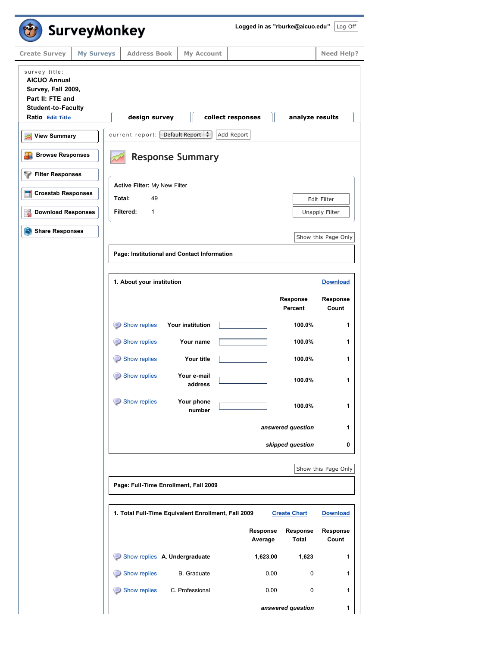| <b>SurveyMonkey</b>                                                                                                             |                                                                            |                        | Logged in as "rburke@aicuo.edu" |                     | Log Off             |
|---------------------------------------------------------------------------------------------------------------------------------|----------------------------------------------------------------------------|------------------------|---------------------------------|---------------------|---------------------|
| <b>Create Survey</b><br><b>My Surveys</b>                                                                                       | <b>Address Book</b>                                                        | My Account             |                                 |                     | <b>Need Help?</b>   |
| survey title:<br><b>AICUO Annual</b><br>Survey, Fall 2009,<br>Part II: FTE and<br><b>Student-to-Faculty</b><br>Ratio Edit Title | design survey                                                              | $\parallel$            | Ш<br>collect responses          | analyze results     |                     |
| <b>View Summary</b>                                                                                                             | current report: [Default Report $\left \stackrel{\bullet}{\bullet}\right $ |                        | Add Report                      |                     |                     |
| <b>Browse Responses</b>                                                                                                         | <b>Response Summary</b>                                                    |                        |                                 |                     |                     |
| <b>Filter Responses</b>                                                                                                         | Active Filter: My New Filter                                               |                        |                                 |                     |                     |
| <b>Crosstab Responses</b>                                                                                                       | Total:<br>49                                                               |                        |                                 |                     | Edit Filter         |
| <b>Download Responses</b>                                                                                                       | Filtered:<br>1                                                             |                        |                                 |                     | Unapply Filter      |
| <b>Share Responses</b>                                                                                                          |                                                                            |                        |                                 |                     | Show this Page Only |
|                                                                                                                                 | Page: Institutional and Contact Information                                |                        |                                 |                     |                     |
|                                                                                                                                 |                                                                            |                        |                                 |                     |                     |
|                                                                                                                                 | 1. About your institution                                                  |                        |                                 |                     | <b>Download</b>     |
|                                                                                                                                 |                                                                            |                        |                                 | Response<br>Percent | Response<br>Count   |
|                                                                                                                                 | Show replies                                                               | Your institution       |                                 | 100.0%              | 1                   |
|                                                                                                                                 | Show replies                                                               | Your name              |                                 | 100.0%              | 1                   |
|                                                                                                                                 | Show replies<br>⊜                                                          | Your title             |                                 | 100.0%              | 1                   |
|                                                                                                                                 | Show replies                                                               | Your e-mail<br>address |                                 | 100.0%              | 1                   |
|                                                                                                                                 | Show replies                                                               | Your phone<br>number   |                                 | 100.0%              | 1                   |
|                                                                                                                                 |                                                                            |                        |                                 | answered question   | 1                   |
|                                                                                                                                 |                                                                            |                        |                                 | skipped question    | 0                   |
|                                                                                                                                 |                                                                            |                        |                                 |                     | Show this Page Only |
|                                                                                                                                 | Page: Full-Time Enrollment, Fall 2009                                      |                        |                                 |                     |                     |
|                                                                                                                                 | 1. Total Full-Time Equivalent Enrollment, Fall 2009                        |                        |                                 | <b>Create Chart</b> | <b>Download</b>     |
|                                                                                                                                 |                                                                            |                        | Response<br>Average             | Response<br>Total   | Response<br>Count   |
|                                                                                                                                 | Show replies A. Undergraduate                                              |                        | 1,623.00                        | 1,623               | 1                   |
|                                                                                                                                 | Show replies                                                               | <b>B.</b> Graduate     | 0.00                            | 0                   | $\mathbf{1}$        |
|                                                                                                                                 | Show replies                                                               | C. Professional        | 0.00                            | 0                   | $\mathbf{1}$        |
|                                                                                                                                 |                                                                            |                        |                                 | answered question   | 1                   |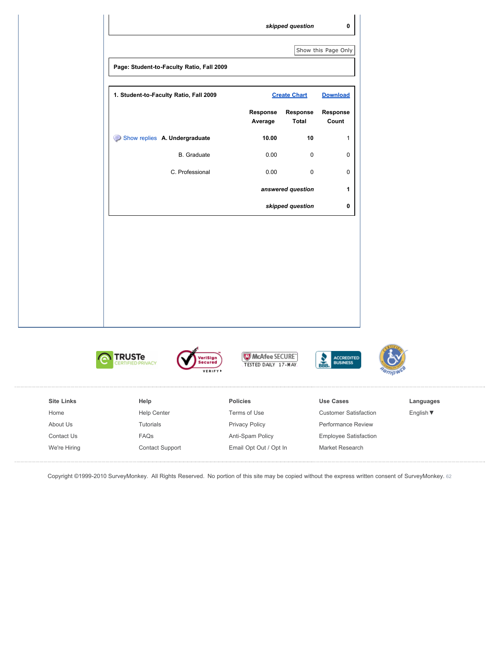

| <b>Site Links</b> | Help               | <b>Policies</b>        | Use Cases                    | Languages                    |
|-------------------|--------------------|------------------------|------------------------------|------------------------------|
| Home              | <b>Help Center</b> | Terms of Use           | <b>Customer Satisfaction</b> | English $\blacktriangledown$ |
| About Us          | Tutorials          | <b>Privacy Policy</b>  | <b>Performance Review</b>    |                              |
| Contact Us        | <b>FAQs</b>        | Anti-Spam Policy       | <b>Employee Satisfaction</b> |                              |
| We're Hiring      | Contact Support    | Email Opt Out / Opt In | Market Research              |                              |
|                   |                    |                        |                              |                              |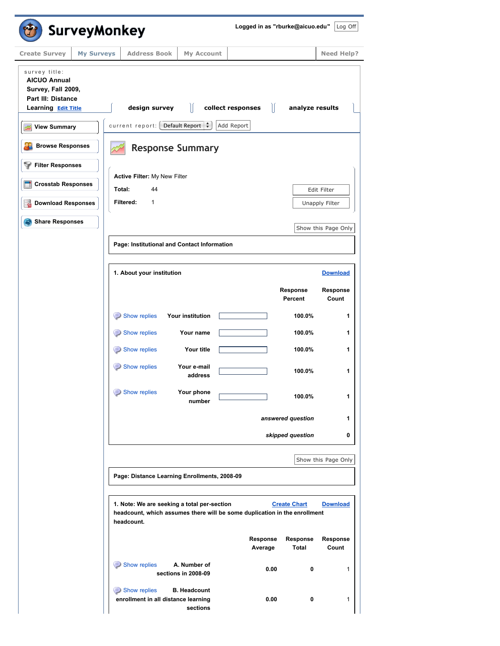|                                                                                                                | <b>SurveyMonkey</b>                                                                    |                                     |                                                                           |                          |                     |
|----------------------------------------------------------------------------------------------------------------|----------------------------------------------------------------------------------------|-------------------------------------|---------------------------------------------------------------------------|--------------------------|---------------------|
| <b>Create Survey</b><br><b>My Surveys</b>                                                                      | <b>Address Book</b>                                                                    | My Account                          |                                                                           |                          | <b>Need Help?</b>   |
| survey title:<br><b>AICUO Annual</b><br>Survey, Fall 2009,<br><b>Part III: Distance</b><br>Learning Edit Title | design survey                                                                          |                                     | collect responses                                                         | Ш<br>analyze results     |                     |
| <b>View Summary</b>                                                                                            | current report: [Default Report $\left  \begin{array}{cc} \bullet \end{array} \right $ |                                     | Add Report                                                                |                          |                     |
| <b>Browse Responses</b>                                                                                        |                                                                                        | <b>Response Summary</b>             |                                                                           |                          |                     |
| <b>Filter Responses</b>                                                                                        |                                                                                        |                                     |                                                                           |                          |                     |
| <b>Crosstab Responses</b>                                                                                      | Active Filter: My New Filter<br>Total:<br>44                                           |                                     |                                                                           |                          | Edit Filter         |
| <b>Download Responses</b>                                                                                      | Filtered:<br>1                                                                         |                                     |                                                                           |                          | Unapply Filter      |
| <b>Share Responses</b>                                                                                         |                                                                                        |                                     |                                                                           |                          |                     |
|                                                                                                                | Page: Institutional and Contact Information                                            |                                     |                                                                           |                          | Show this Page Only |
|                                                                                                                |                                                                                        |                                     |                                                                           |                          |                     |
|                                                                                                                | 1. About your institution                                                              |                                     |                                                                           |                          | <b>Download</b>     |
|                                                                                                                |                                                                                        |                                     |                                                                           | Response<br>Percent      | Response<br>Count   |
|                                                                                                                | Show replies                                                                           | Your institution                    |                                                                           | 100.0%                   | 1                   |
|                                                                                                                | Show replies                                                                           | Your name                           |                                                                           | 100.0%                   | 1                   |
|                                                                                                                | Show replies                                                                           | Your title                          |                                                                           | 100.0%                   | 1                   |
|                                                                                                                | Show replies                                                                           | Your e-mail<br>address              |                                                                           | 100.0%                   | 1                   |
|                                                                                                                | Show replies                                                                           | Your phone<br>number                |                                                                           | 100.0%                   | 1                   |
|                                                                                                                |                                                                                        |                                     |                                                                           | answered question        | 1                   |
|                                                                                                                |                                                                                        |                                     |                                                                           | skipped question         | 0                   |
|                                                                                                                |                                                                                        |                                     |                                                                           |                          | Show this Page Only |
|                                                                                                                | Page: Distance Learning Enrollments, 2008-09                                           |                                     |                                                                           |                          |                     |
|                                                                                                                | 1. Note: We are seeking a total per-section<br>headcount.                              |                                     | headcount, which assumes there will be some duplication in the enrollment | <b>Create Chart</b>      | <b>Download</b>     |
|                                                                                                                |                                                                                        |                                     | Response<br>Average                                                       | Response<br><b>Total</b> | Response<br>Count   |
|                                                                                                                | Show replies                                                                           | A. Number of<br>sections in 2008-09 |                                                                           | 0.00<br>0                | 1                   |
|                                                                                                                | Show replies                                                                           | <b>B. Headcount</b>                 |                                                                           |                          |                     |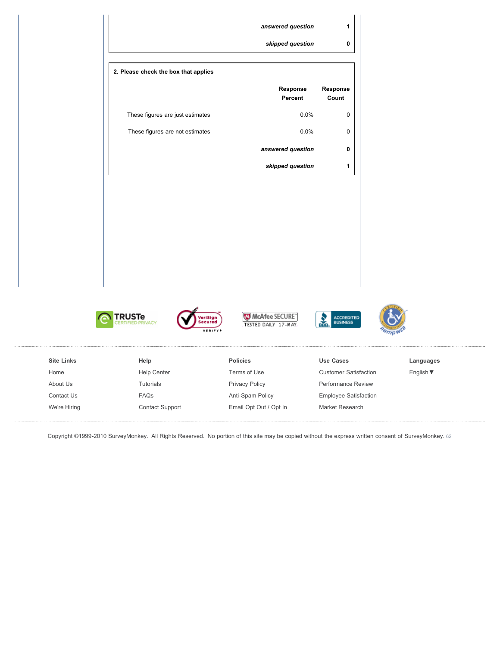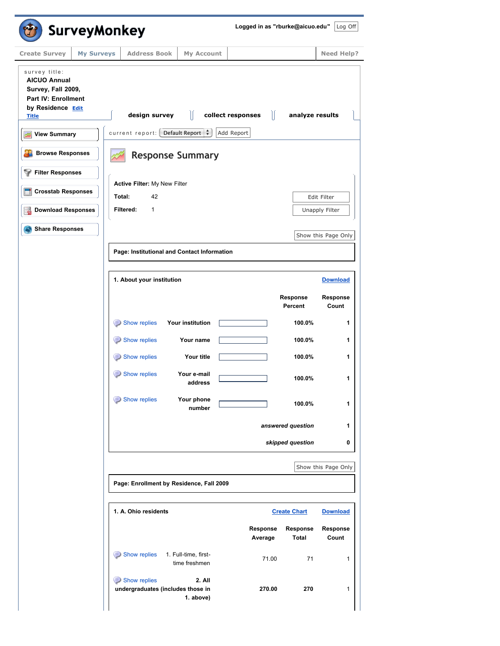|                                                                                                                               | <b>SurveyMonkey</b> |                                                   |                                             | Logged in as "rburke@aicuo.edu" |                          | Log Off             |
|-------------------------------------------------------------------------------------------------------------------------------|---------------------|---------------------------------------------------|---------------------------------------------|---------------------------------|--------------------------|---------------------|
| <b>Create Survey</b>                                                                                                          | <b>My Surveys</b>   | <b>Address Book</b>                               | My Account                                  |                                 |                          | <b>Need Help?</b>   |
| survey title:<br><b>AICUO Annual</b><br>Survey, Fall 2009,<br><b>Part IV: Enrollment</b><br>by Residence Edit<br><b>Title</b> |                     | design survey                                     | Ш                                           | Ш<br>collect responses          | analyze results          |                     |
| <b>View Summary</b>                                                                                                           |                     |                                                   | current report: [Default Report $\div$ ]    | Add Report                      |                          |                     |
| <b>Browse Responses</b>                                                                                                       |                     |                                                   | <b>Response Summary</b>                     |                                 |                          |                     |
| <b>Filter Responses</b>                                                                                                       |                     | Active Filter: My New Filter                      |                                             |                                 |                          |                     |
| <b>Crosstab Responses</b>                                                                                                     |                     | Total:<br>42                                      |                                             |                                 |                          | Edit Filter         |
| <b>Download Responses</b>                                                                                                     |                     | Filtered:<br>1                                    |                                             |                                 |                          | Unapply Filter      |
| <b>Share Responses</b>                                                                                                        |                     |                                                   |                                             |                                 |                          | Show this Page Only |
|                                                                                                                               |                     |                                                   | Page: Institutional and Contact Information |                                 |                          |                     |
|                                                                                                                               |                     |                                                   |                                             |                                 |                          |                     |
|                                                                                                                               |                     | 1. About your institution                         |                                             |                                 |                          | <b>Download</b>     |
|                                                                                                                               |                     |                                                   |                                             |                                 | Response<br>Percent      | Response<br>Count   |
|                                                                                                                               |                     | Show replies                                      | Your institution                            |                                 | 100.0%                   | 1                   |
|                                                                                                                               |                     | Show replies                                      | Your name                                   |                                 | 100.0%                   | 1                   |
|                                                                                                                               |                     | Show replies                                      | Your title                                  |                                 | 100.0%                   | 1                   |
|                                                                                                                               |                     | Show replies                                      | Your e-mail<br>address                      |                                 | 100.0%                   | 1                   |
|                                                                                                                               |                     | Show replies                                      | Your phone<br>number                        |                                 | 100.0%                   | 1                   |
|                                                                                                                               |                     |                                                   |                                             |                                 | answered question        | 1                   |
|                                                                                                                               |                     |                                                   |                                             |                                 | skipped question         | 0                   |
|                                                                                                                               |                     |                                                   |                                             |                                 |                          | Show this Page Only |
|                                                                                                                               |                     |                                                   | Page: Enrollment by Residence, Fall 2009    |                                 |                          |                     |
|                                                                                                                               |                     | 1. A. Ohio residents                              |                                             |                                 | <b>Create Chart</b>      | <b>Download</b>     |
|                                                                                                                               |                     |                                                   |                                             | Response<br>Average             | Response<br><b>Total</b> | Response<br>Count   |
|                                                                                                                               |                     | Show replies                                      | 1. Full-time, first-<br>time freshmen       | 71.00                           | 71                       | $\mathbf{1}$        |
|                                                                                                                               |                     | Show replies<br>undergraduates (includes those in | 2. All<br>1. above)                         | 270.00                          | 270                      | 1                   |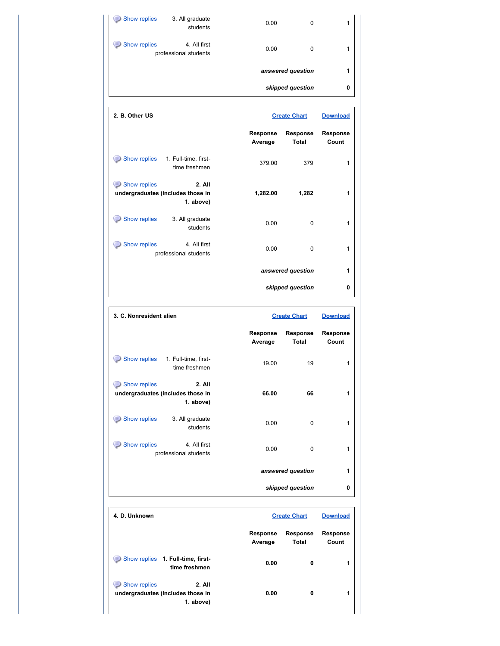| Show replies                  | 3. All graduate<br>students           | 0.00              | 0 |   |
|-------------------------------|---------------------------------------|-------------------|---|---|
| Show replies<br>$\Rightarrow$ | 4. All first<br>professional students | 0.00              | 0 |   |
|                               |                                       | answered question |   | 1 |
|                               |                                       | skipped question  |   | 0 |

| 2. B. Other US                                                           |                            | <b>Create Chart</b>      |                   |
|--------------------------------------------------------------------------|----------------------------|--------------------------|-------------------|
|                                                                          | <b>Response</b><br>Average | <b>Response</b><br>Total | Response<br>Count |
| Show replies<br>1. Full-time, first-<br>time freshmen                    | 379.00                     | 379                      |                   |
| Show replies<br>2. All<br>undergraduates (includes those in<br>1. above) | 1,282.00                   | 1,282                    |                   |
| Show replies<br>3. All graduate<br>students                              | 0.00                       | $\Omega$                 |                   |
| Show replies<br>4. All first<br>professional students                    | 0.00                       | $\Omega$                 |                   |
|                                                                          |                            | answered question        |                   |
|                                                                          |                            | skipped question         | 0                 |

| 3. C. Nonresident alien                                                  | <b>Create Chart</b>                             | <b>Download</b>          |
|--------------------------------------------------------------------------|-------------------------------------------------|--------------------------|
|                                                                          | Response<br>Response<br><b>Total</b><br>Average | <b>Response</b><br>Count |
| Show replies<br>1. Full-time, first-<br>time freshmen                    | 19.00<br>19                                     | 1                        |
| Show replies<br>2. All<br>undergraduates (includes those in<br>1. above) | 66<br>66.00                                     | 1                        |
| Show replies<br>3. All graduate<br>students                              | 0.00<br>$\Omega$                                | 1                        |
| Show replies<br>4. All first<br>professional students                    | 0.00<br>0                                       | 1                        |
|                                                                          | answered question                               | 1                        |
|                                                                          | skipped question                                | 0                        |

| 4. D. Unknown                                                                  | <b>Create Chart</b>        |                          | <b>Download</b>          |
|--------------------------------------------------------------------------------|----------------------------|--------------------------|--------------------------|
|                                                                                | <b>Response</b><br>Average | <b>Response</b><br>Total | <b>Response</b><br>Count |
| Show replies 1. Full-time, first-<br>$\Rightarrow$<br>time freshmen            | 0.00                       | 0                        |                          |
| 2. All<br>Show replies<br>Ξ.<br>undergraduates (includes those in<br>1. above) | 0.00                       | 0                        |                          |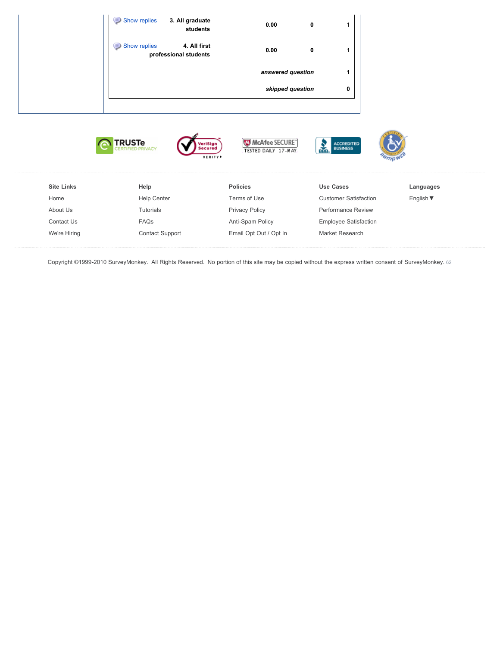|                   | Show replies<br>3. All graduate<br>students<br>Show replies<br>4. All first<br>professional students | 0.00<br>0.00<br>answered question                                             | $\pmb{0}$<br>$\pmb{0}$<br>1<br>1 |           |
|-------------------|------------------------------------------------------------------------------------------------------|-------------------------------------------------------------------------------|----------------------------------|-----------|
|                   |                                                                                                      | skipped question                                                              | 0                                |           |
|                   | <b>TRUSTe</b><br>CERTIFIED PRIVACY                                                                   | McAfee SECURE"<br>'eriSign<br>secured<br>TESTED DAILY 17-MAY<br><b>VERIFY</b> | ACCREDITED<br>BUSINESS<br>SEB.   | אַק $m$   |
| <b>Site Links</b> | Help                                                                                                 | <b>Policies</b>                                                               | <b>Use Cases</b>                 | Languages |
| Home              | <b>Help Center</b>                                                                                   | Terms of Use                                                                  | <b>Customer Satisfaction</b>     | English ▼ |
| About Us          | Tutorials                                                                                            | <b>Privacy Policy</b>                                                         | Performance Review               |           |
|                   |                                                                                                      |                                                                               | Employee Satisfaction            |           |

[Email Opt Out / Opt In](http://www.surveymonkey.com/OptOut.aspx) [Market Research](http://www.surveymonkey.com/examples/market-research-surveys.aspx)

[Contact Support](http://help.surveymonkey.com/ci/pta/login/redirect/ask/p_li/cF91c2VyaWQ9NTA0MTE2MDUmcF9wYXNzd2Q9R1ZTMTdONklTNyZwX2VtYWlsLmFkZHI9cmJ1cmtlQGFpY3VvLmVkdSZwX2NjZl8xPXJidXJrZUBhaWN1by5lZHUmcF9saV9wYXNzd2Q9Y2Z_cDZQaTg*)

[We're Hiring](http://www.surveymonkey.com/jobs/Home_Jobs.htm)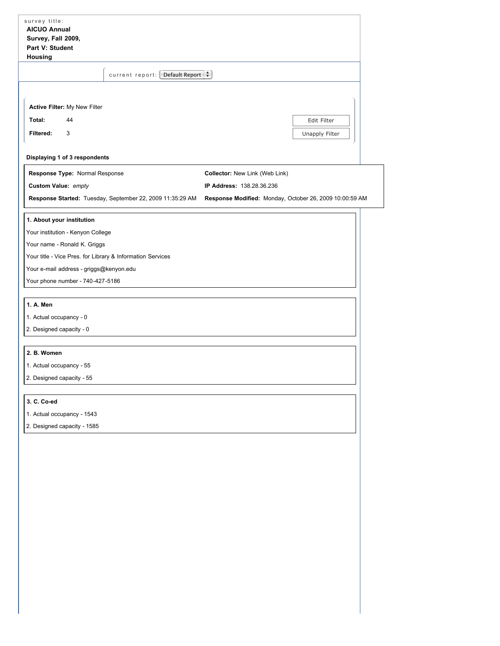| survey title:<br><b>AICUO Annual</b><br>Survey, Fall 2009,<br>Part V: Student<br>Housing                                                                                                                                                    |                                                                                                                        |
|---------------------------------------------------------------------------------------------------------------------------------------------------------------------------------------------------------------------------------------------|------------------------------------------------------------------------------------------------------------------------|
| current report: [Default Report $\div$ ]                                                                                                                                                                                                    |                                                                                                                        |
| Active Filter: My New Filter<br>Total:<br>44<br>Filtered:<br>3                                                                                                                                                                              | Edit Filter<br>Unapply Filter                                                                                          |
| Displaying 1 of 3 respondents                                                                                                                                                                                                               |                                                                                                                        |
| Response Type: Normal Response<br>Custom Value: empty<br>Response Started: Tuesday, September 22, 2009 11:35:29 AM                                                                                                                          | Collector: New Link (Web Link)<br>IP Address: 138.28.36.236<br>Response Modified: Monday, October 26, 2009 10:00:59 AM |
| 1. About your institution<br>Your institution - Kenyon College<br>Your name - Ronald K. Griggs<br>Your title - Vice Pres. for Library & Information Services<br>Your e-mail address - griggs@kenyon.edu<br>Your phone number - 740-427-5186 |                                                                                                                        |
| 1. A. Men<br>1. Actual occupancy - 0<br>2. Designed capacity - 0                                                                                                                                                                            |                                                                                                                        |
| 2. B. Women<br>1. Actual occupancy - 55<br>2. Designed capacity - 55                                                                                                                                                                        |                                                                                                                        |
| 3. C. Co-ed<br>1. Actual occupancy - 1543<br>2. Designed capacity - 1585                                                                                                                                                                    |                                                                                                                        |
|                                                                                                                                                                                                                                             |                                                                                                                        |
|                                                                                                                                                                                                                                             |                                                                                                                        |
|                                                                                                                                                                                                                                             |                                                                                                                        |
|                                                                                                                                                                                                                                             |                                                                                                                        |
|                                                                                                                                                                                                                                             |                                                                                                                        |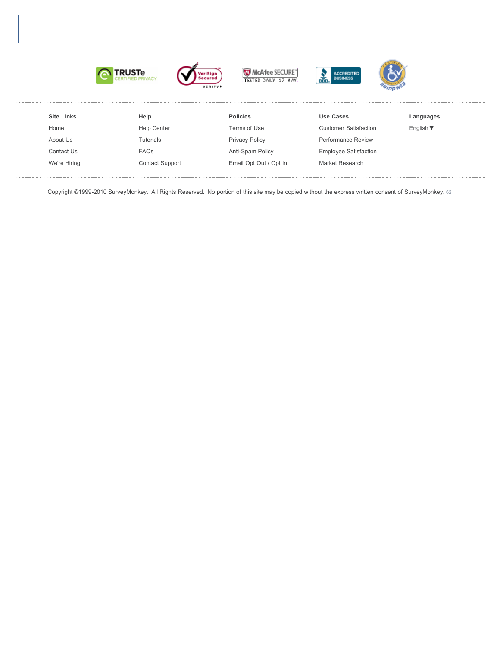









| <b>Site Links</b> | Help                   | <b>Policies</b>        | Use Cases                    | Languages                    |
|-------------------|------------------------|------------------------|------------------------------|------------------------------|
| Home              | <b>Help Center</b>     | Terms of Use           | <b>Customer Satisfaction</b> | English $\blacktriangledown$ |
| About Us          | <b>Tutorials</b>       | <b>Privacy Policy</b>  | <b>Performance Review</b>    |                              |
| Contact Us        | <b>FAQs</b>            | Anti-Spam Policy       | <b>Employee Satisfaction</b> |                              |
| We're Hiring      | <b>Contact Support</b> | Email Opt Out / Opt In | <b>Market Research</b>       |                              |
|                   |                        |                        |                              |                              |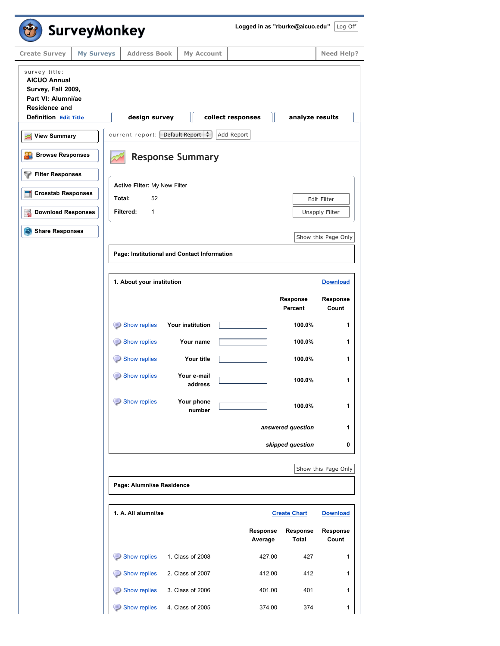| <b>Create Survey</b><br><b>My Surveys</b>                                                                                  |                                                                |                                             |                     |                                 |                     |
|----------------------------------------------------------------------------------------------------------------------------|----------------------------------------------------------------|---------------------------------------------|---------------------|---------------------------------|---------------------|
|                                                                                                                            | <b>Address Book</b>                                            | My Account                                  |                     |                                 | <b>Need Help?</b>   |
| survey title:<br><b>AICUO Annual</b><br>Survey, Fall 2009,<br>Part VI: Alumni/ae<br>Residence and<br>Definition Edit Title | design survey                                                  | Ш                                           | collect responses   | $\mathbb{I}$<br>analyze results |                     |
| <b>View Summary</b>                                                                                                        | current report: $\left[$ Default Report $\left  \cdot \right $ |                                             | Add Report          |                                 |                     |
| <b>Browse Responses</b>                                                                                                    |                                                                | <b>Response Summary</b>                     |                     |                                 |                     |
| <b>Filter Responses</b>                                                                                                    | Active Filter: My New Filter                                   |                                             |                     |                                 |                     |
| <b>Crosstab Responses</b>                                                                                                  | Total:<br>52                                                   |                                             |                     |                                 | Edit Filter         |
| <b>Download Responses</b>                                                                                                  | $\mathbf{1}$<br>Filtered:                                      |                                             |                     |                                 | Unapply Filter      |
| <b>Share Responses</b>                                                                                                     |                                                                |                                             |                     |                                 | Show this Page Only |
|                                                                                                                            |                                                                | Page: Institutional and Contact Information |                     |                                 |                     |
|                                                                                                                            |                                                                |                                             |                     |                                 |                     |
|                                                                                                                            | 1. About your institution                                      |                                             |                     |                                 | <b>Download</b>     |
|                                                                                                                            |                                                                |                                             |                     | Response<br>Percent             | Response<br>Count   |
|                                                                                                                            | Show replies                                                   | Your institution                            |                     | 100.0%                          | 1                   |
|                                                                                                                            | Show replies                                                   | Your name                                   |                     | 100.0%                          | 1                   |
|                                                                                                                            | Show replies                                                   | Your title                                  |                     | 100.0%                          | 1                   |
|                                                                                                                            | Show replies                                                   | Your e-mail<br>address                      |                     | 100.0%                          | 1                   |
|                                                                                                                            | Show replies                                                   | Your phone<br>number                        |                     | 100.0%                          | 1                   |
|                                                                                                                            |                                                                |                                             |                     | answered question               | 1                   |
|                                                                                                                            |                                                                |                                             |                     | skipped question                | 0                   |
|                                                                                                                            |                                                                |                                             |                     |                                 | Show this Page Only |
|                                                                                                                            | Page: Alumni/ae Residence                                      |                                             |                     |                                 |                     |
|                                                                                                                            | 1. A. All alumni/ae                                            |                                             |                     | <b>Create Chart</b>             | <b>Download</b>     |
|                                                                                                                            |                                                                |                                             | Response<br>Average | Response<br>Total               | Response<br>Count   |
|                                                                                                                            | Show replies                                                   | 1. Class of 2008                            | 427.00              | 427                             | 1                   |
|                                                                                                                            |                                                                |                                             |                     |                                 |                     |
|                                                                                                                            | Show replies                                                   | 2. Class of 2007                            | 412.00              | 412                             | 1                   |
|                                                                                                                            | Show replies                                                   | 3. Class of 2006                            | 401.00              | 401                             | 1                   |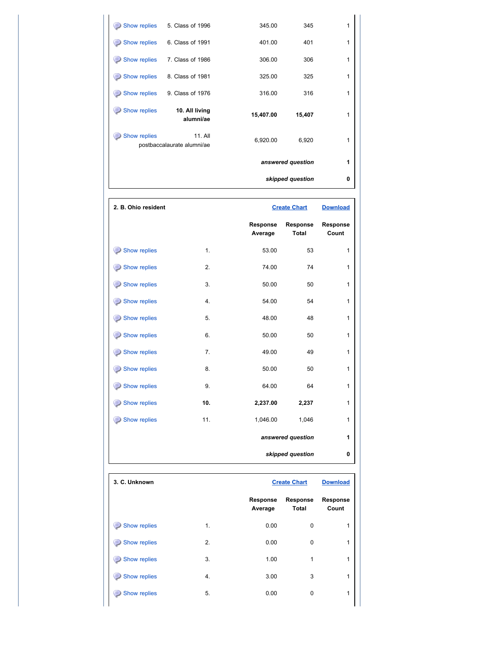| Show replies | 5. Class of 1996                      | 345.00    | 345               | 1 |
|--------------|---------------------------------------|-----------|-------------------|---|
| Show replies | 6. Class of 1991                      | 401.00    | 401               | 1 |
| Show replies | 7. Class of 1986                      | 306.00    | 306               | 1 |
| Show replies | 8. Class of 1981                      | 325.00    | 325               | 1 |
| Show replies | 9. Class of 1976                      | 316.00    | 316               | 1 |
| Show replies | 10. All living<br>alumni/ae           | 15,407.00 | 15,407            | 1 |
| Show replies | 11. All<br>postbaccalaurate alumni/ae | 6,920.00  | 6,920             | 1 |
|              |                                       |           | answered question | 1 |
|              |                                       |           | skipped question  | 0 |

| 2. B. Ohio resident |     |                     | <b>Create Chart</b>      | <b>Download</b>   |
|---------------------|-----|---------------------|--------------------------|-------------------|
|                     |     | Response<br>Average | Response<br><b>Total</b> | Response<br>Count |
| Show replies        | 1.  | 53.00               | 53                       | 1                 |
| Show replies        | 2.  | 74.00               | 74                       | $\mathbf{1}$      |
| Show replies        | 3.  | 50.00               | 50                       | $\mathbf{1}$      |
| Show replies<br>⊜   | 4.  | 54.00               | 54                       | $\mathbf{1}$      |
| Show replies        | 5.  | 48.00               | 48                       | $\mathbf{1}$      |
| Show replies        | 6.  | 50.00               | 50                       | $\mathbf{1}$      |
| Show replies<br>⊜   | 7.  | 49.00               | 49                       | $\mathbf{1}$      |
| Show replies        | 8.  | 50.00               | 50                       | $\mathbf{1}$      |
| Show replies<br>⊜   | 9.  | 64.00               | 64                       | $\mathbf{1}$      |
| Show replies<br>⊜   | 10. | 2,237.00            | 2,237                    | 1                 |
| Show replies<br>⊜   | 11. | 1,046.00            | 1,046                    | $\mathbf{1}$      |
|                     |     |                     | answered question        | 1                 |
|                     |     |                     | skipped question         | 0                 |

| 3. C. Unknown     |    |                            | <b>Create Chart</b>             | <b>Download</b>   |
|-------------------|----|----------------------------|---------------------------------|-------------------|
|                   |    | <b>Response</b><br>Average | <b>Response</b><br><b>Total</b> | Response<br>Count |
| Show replies<br>3 | 1. | 0.00                       | 0                               | 1                 |
| Show replies<br>3 | 2. | 0.00                       | 0                               | 1                 |
| Show replies<br>3 | 3. | 1.00                       | 1                               | 1                 |
| Show replies<br>3 | 4. | 3.00                       | 3                               | 1                 |
| Show replies      | 5. | 0.00                       | 0                               | 1                 |